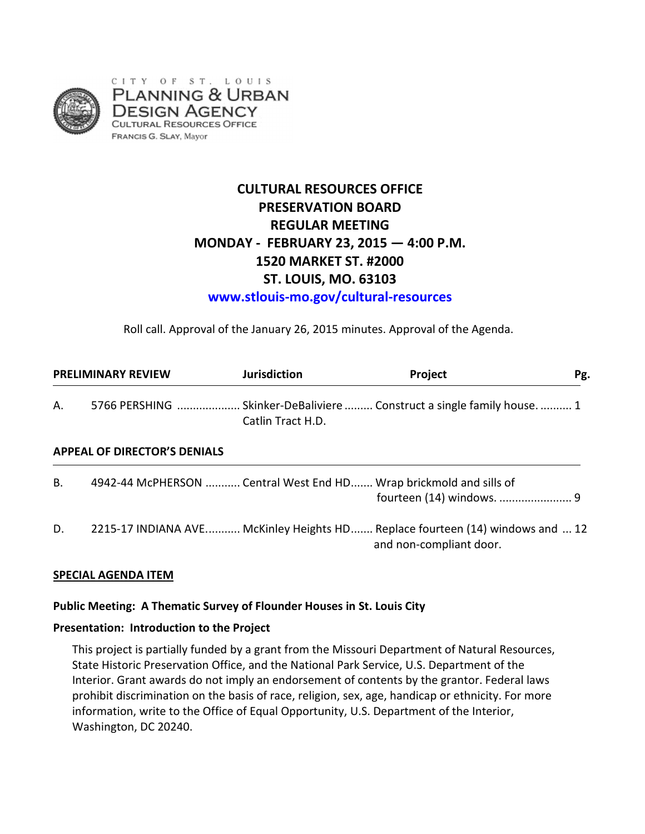

# **CULTURAL RESOURCES OFFICE PRESERVATION BOARD REGULAR MEETING MONDAY - FEBRUARY 23, 2015 — 4:00 P.M. 1520 MARKET ST. #2000 ST. LOUIS, MO. 63103**

**www.stlouis-mo.gov/cultural-resources**

Roll call. Approval of the January 26, 2015 minutes. Approval of the Agenda.

| <b>PRELIMINARY REVIEW</b> |                                     | <b>Jurisdiction</b> | Project                                                                                                  | Pg. |
|---------------------------|-------------------------------------|---------------------|----------------------------------------------------------------------------------------------------------|-----|
| А.                        |                                     | Catlin Tract H.D.   | 5766 PERSHING  Skinker-DeBaliviere  Construct a single family house.  1                                  |     |
|                           | <b>APPEAL OF DIRECTOR'S DENIALS</b> |                     |                                                                                                          |     |
| В.                        |                                     |                     | 4942-44 McPHERSON  Central West End HD Wrap brickmold and sills of                                       |     |
| D.                        |                                     |                     | 2215-17 INDIANA AVE McKinley Heights HD Replace fourteen (14) windows and  12<br>and non-compliant door. |     |

### **SPECIAL AGENDA ITEM**

### **Public Meeting: A Thematic Survey of Flounder Houses in St. Louis City**

### **Presentation: Introduction to the Project**

This project is partially funded by a grant from the Missouri Department of Natural Resources, State Historic Preservation Office, and the National Park Service, U.S. Department of the Interior. Grant awards do not imply an endorsement of contents by the grantor. Federal laws prohibit discrimination on the basis of race, religion, sex, age, handicap or ethnicity. For more information, write to the Office of Equal Opportunity, U.S. Department of the Interior, Washington, DC 20240.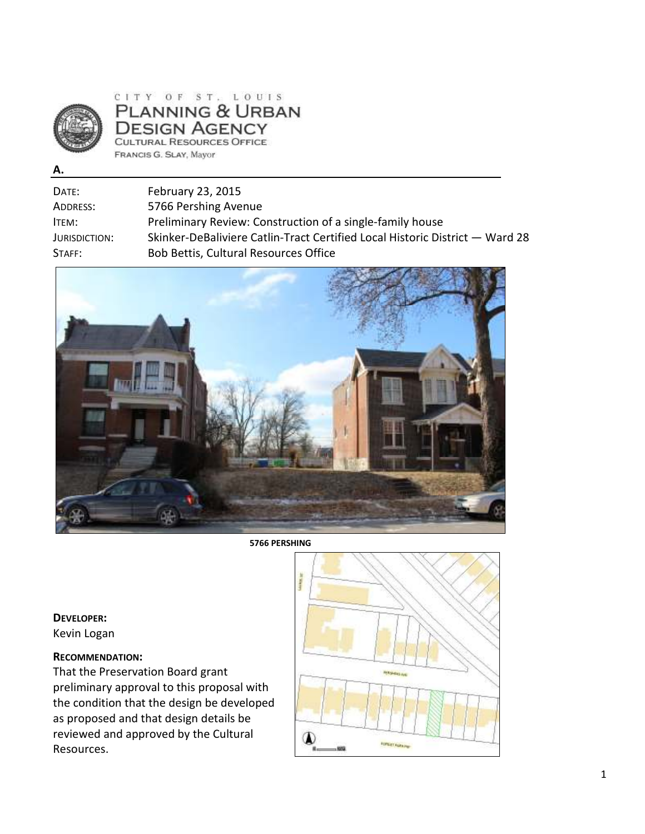

CITY OF ST. LOUIS PLANNING & URBAN **DESIGN AGENCY** CULTURAL RESOURCES OFFICE FRANCIS G. SLAY, Mayor

**A.** 

| Date:         | February 23, 2015                                                            |
|---------------|------------------------------------------------------------------------------|
| Address:      | 5766 Pershing Avenue                                                         |
| ITEM:         | Preliminary Review: Construction of a single-family house                    |
| Jurisdiction: | Skinker-DeBaliviere Catlin-Tract Certified Local Historic District - Ward 28 |
| STATE:        | Bob Bettis, Cultural Resources Office                                        |
|               |                                                                              |



**5766 PERSHING** 

**DEVELOPER:** Kevin Logan

### **RECOMMENDATION:**

That the Preservation Board grant preliminary approval to this proposal with the condition that the design be developed as proposed and that design details be reviewed and approved by the Cultural Resources.

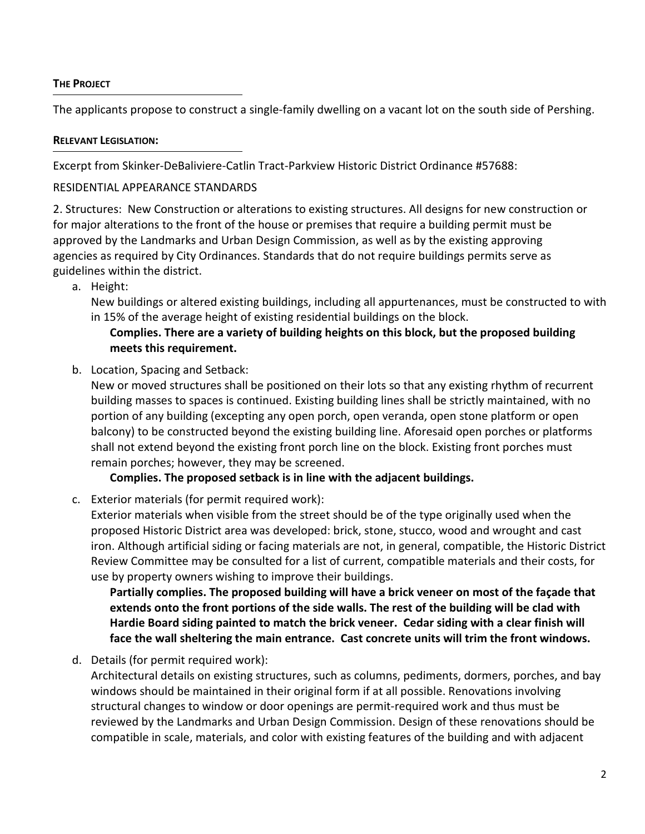### **THE PROJECT**

The applicants propose to construct a single-family dwelling on a vacant lot on the south side of Pershing.

### **RELEVANT LEGISLATION:**

Excerpt from Skinker-DeBaliviere-Catlin Tract-Parkview Historic District Ordinance #57688:

### RESIDENTIAL APPEARANCE STANDARDS

2. Structures: New Construction or alterations to existing structures. All designs for new construction or for major alterations to the front of the house or premises that require a building permit must be approved by the Landmarks and Urban Design Commission, as well as by the existing approving agencies as required by City Ordinances. Standards that do not require buildings permits serve as guidelines within the district.

a. Height:

New buildings or altered existing buildings, including all appurtenances, must be constructed to with in 15% of the average height of existing residential buildings on the block.

## **Complies. There are a variety of building heights on this block, but the proposed building meets this requirement.**

b. Location, Spacing and Setback:

New or moved structures shall be positioned on their lots so that any existing rhythm of recurrent building masses to spaces is continued. Existing building lines shall be strictly maintained, with no portion of any building (excepting any open porch, open veranda, open stone platform or open balcony) to be constructed beyond the existing building line. Aforesaid open porches or platforms shall not extend beyond the existing front porch line on the block. Existing front porches must remain porches; however, they may be screened.

**Complies. The proposed setback is in line with the adjacent buildings.** 

c. Exterior materials (for permit required work):

Exterior materials when visible from the street should be of the type originally used when the proposed Historic District area was developed: brick, stone, stucco, wood and wrought and cast iron. Although artificial siding or facing materials are not, in general, compatible, the Historic District Review Committee may be consulted for a list of current, compatible materials and their costs, for use by property owners wishing to improve their buildings.

**Partially complies. The proposed building will have a brick veneer on most of the façade that extends onto the front portions of the side walls. The rest of the building will be clad with Hardie Board siding painted to match the brick veneer. Cedar siding with a clear finish will face the wall sheltering the main entrance. Cast concrete units will trim the front windows.** 

d. Details (for permit required work):

Architectural details on existing structures, such as columns, pediments, dormers, porches, and bay windows should be maintained in their original form if at all possible. Renovations involving structural changes to window or door openings are permit-required work and thus must be reviewed by the Landmarks and Urban Design Commission. Design of these renovations should be compatible in scale, materials, and color with existing features of the building and with adjacent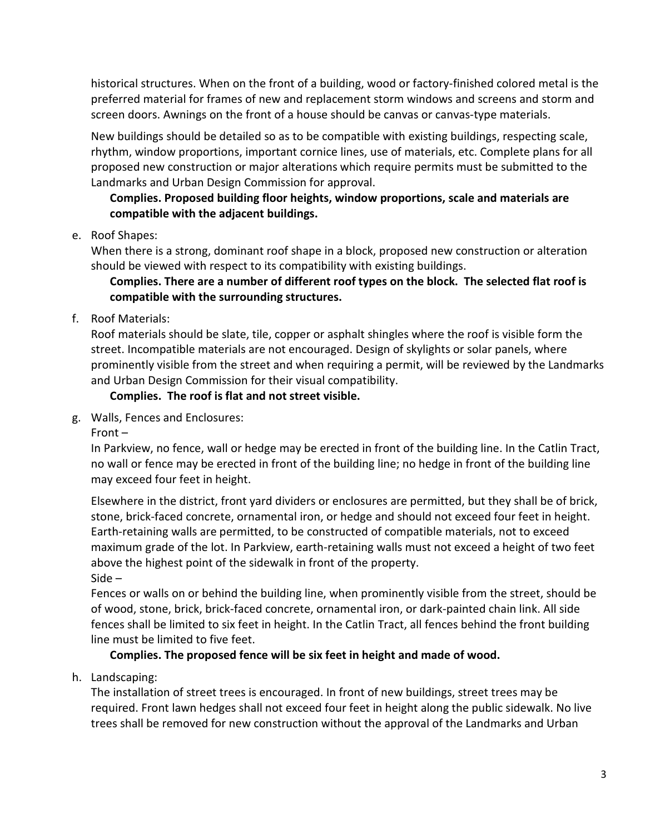historical structures. When on the front of a building, wood or factory-finished colored metal is the preferred material for frames of new and replacement storm windows and screens and storm and screen doors. Awnings on the front of a house should be canvas or canvas-type materials.

New buildings should be detailed so as to be compatible with existing buildings, respecting scale, rhythm, window proportions, important cornice lines, use of materials, etc. Complete plans for all proposed new construction or major alterations which require permits must be submitted to the Landmarks and Urban Design Commission for approval.

## **Complies. Proposed building floor heights, window proportions, scale and materials are compatible with the adjacent buildings.**

## e. Roof Shapes:

When there is a strong, dominant roof shape in a block, proposed new construction or alteration should be viewed with respect to its compatibility with existing buildings.

## **Complies. There are a number of different roof types on the block. The selected flat roof is compatible with the surrounding structures.**

## f. Roof Materials:

Roof materials should be slate, tile, copper or asphalt shingles where the roof is visible form the street. Incompatible materials are not encouraged. Design of skylights or solar panels, where prominently visible from the street and when requiring a permit, will be reviewed by the Landmarks and Urban Design Commission for their visual compatibility.

## **Complies. The roof is flat and not street visible.**

g. Walls, Fences and Enclosures:

Front –

In Parkview, no fence, wall or hedge may be erected in front of the building line. In the Catlin Tract, no wall or fence may be erected in front of the building line; no hedge in front of the building line may exceed four feet in height.

Elsewhere in the district, front yard dividers or enclosures are permitted, but they shall be of brick, stone, brick-faced concrete, ornamental iron, or hedge and should not exceed four feet in height. Earth-retaining walls are permitted, to be constructed of compatible materials, not to exceed maximum grade of the lot. In Parkview, earth-retaining walls must not exceed a height of two feet above the highest point of the sidewalk in front of the property. Side –

Fences or walls on or behind the building line, when prominently visible from the street, should be of wood, stone, brick, brick-faced concrete, ornamental iron, or dark-painted chain link. All side fences shall be limited to six feet in height. In the Catlin Tract, all fences behind the front building line must be limited to five feet.

## **Complies. The proposed fence will be six feet in height and made of wood.**

## h. Landscaping:

The installation of street trees is encouraged. In front of new buildings, street trees may be required. Front lawn hedges shall not exceed four feet in height along the public sidewalk. No live trees shall be removed for new construction without the approval of the Landmarks and Urban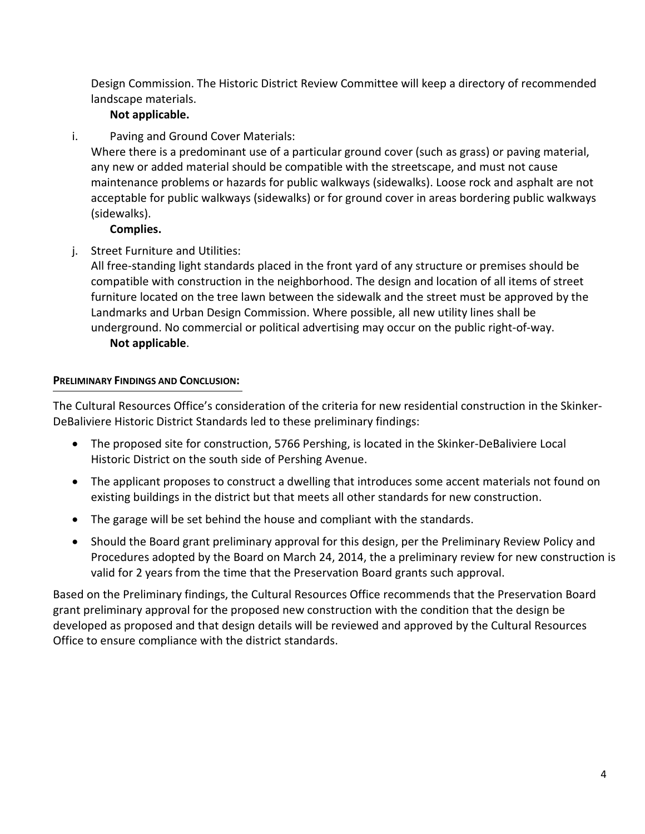Design Commission. The Historic District Review Committee will keep a directory of recommended landscape materials.

## **Not applicable.**

i. Paving and Ground Cover Materials:

Where there is a predominant use of a particular ground cover (such as grass) or paving material, any new or added material should be compatible with the streetscape, and must not cause maintenance problems or hazards for public walkways (sidewalks). Loose rock and asphalt are not acceptable for public walkways (sidewalks) or for ground cover in areas bordering public walkways (sidewalks).

**Complies.** 

j. Street Furniture and Utilities:

All free-standing light standards placed in the front yard of any structure or premises should be compatible with construction in the neighborhood. The design and location of all items of street furniture located on the tree lawn between the sidewalk and the street must be approved by the Landmarks and Urban Design Commission. Where possible, all new utility lines shall be underground. No commercial or political advertising may occur on the public right-of-way. **Not applicable**.

#### **PRELIMINARY FINDINGS AND CONCLUSION:**

The Cultural Resources Office's consideration of the criteria for new residential construction in the Skinker-DeBaliviere Historic District Standards led to these preliminary findings:

- The proposed site for construction, 5766 Pershing, is located in the Skinker-DeBaliviere Local Historic District on the south side of Pershing Avenue.
- The applicant proposes to construct a dwelling that introduces some accent materials not found on existing buildings in the district but that meets all other standards for new construction.
- The garage will be set behind the house and compliant with the standards.
- Should the Board grant preliminary approval for this design, per the Preliminary Review Policy and Procedures adopted by the Board on March 24, 2014, the a preliminary review for new construction is valid for 2 years from the time that the Preservation Board grants such approval.

Based on the Preliminary findings, the Cultural Resources Office recommends that the Preservation Board grant preliminary approval for the proposed new construction with the condition that the design be developed as proposed and that design details will be reviewed and approved by the Cultural Resources Office to ensure compliance with the district standards.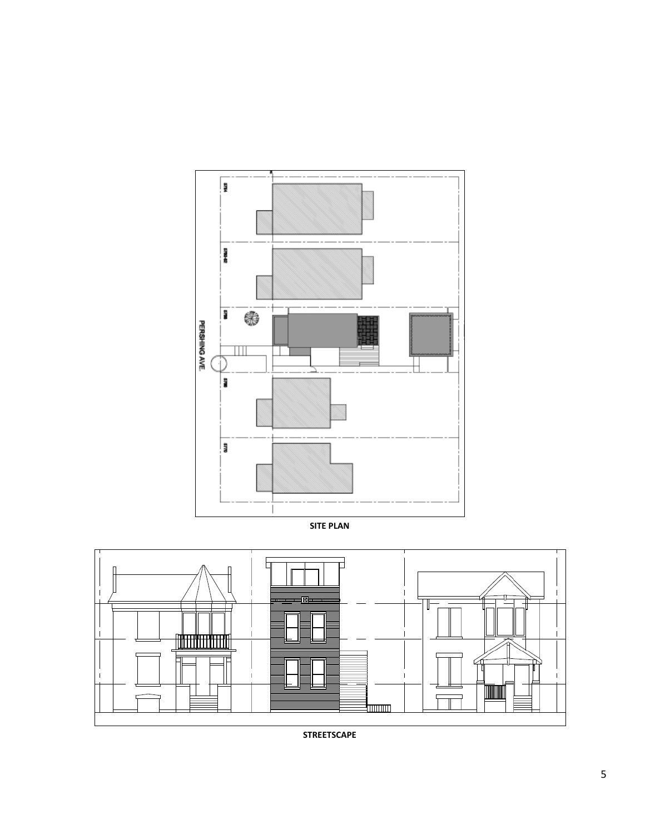

**SITE PLAN** 



**STREETSCAPE**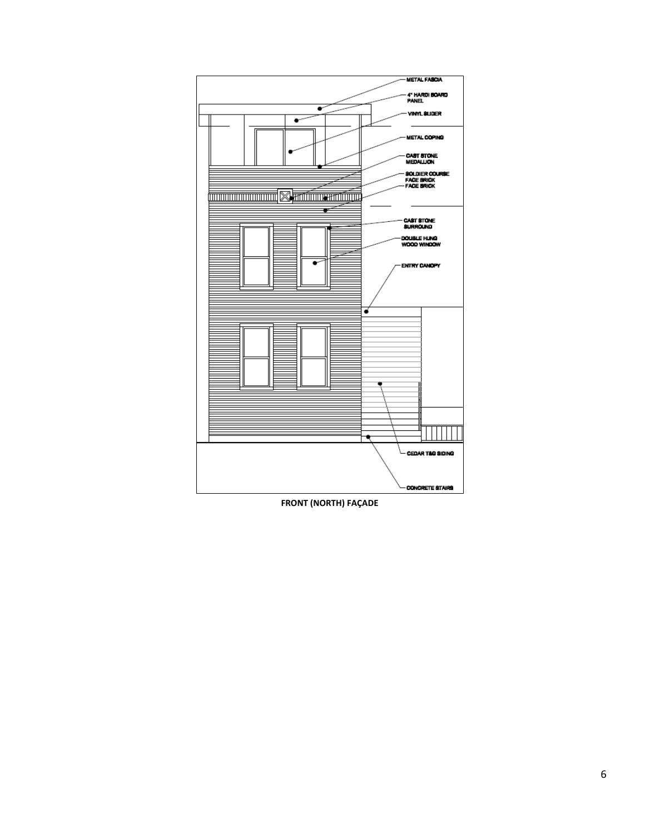

**FRONT (NORTH) FAÇADE**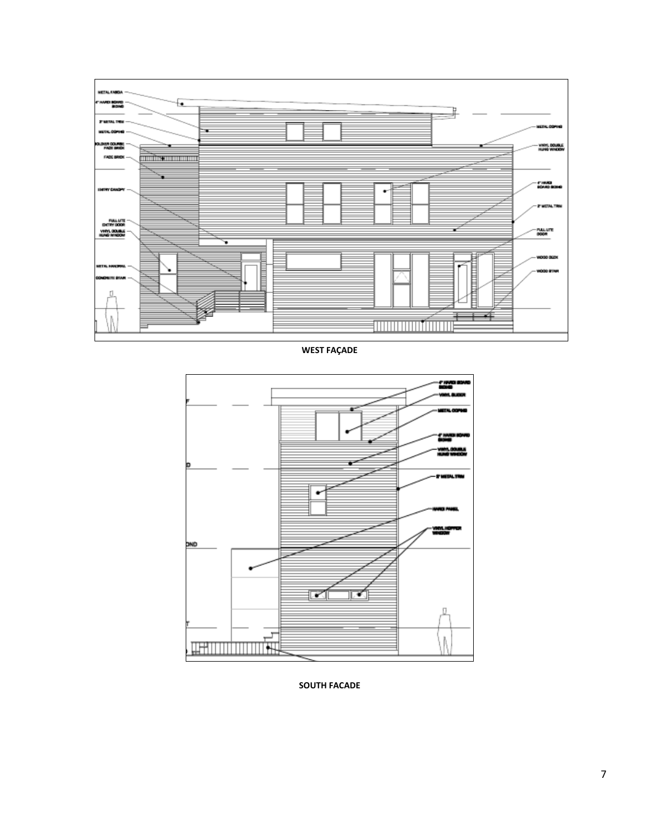

**WEST FAÇADE** 



**SOUTH FACADE**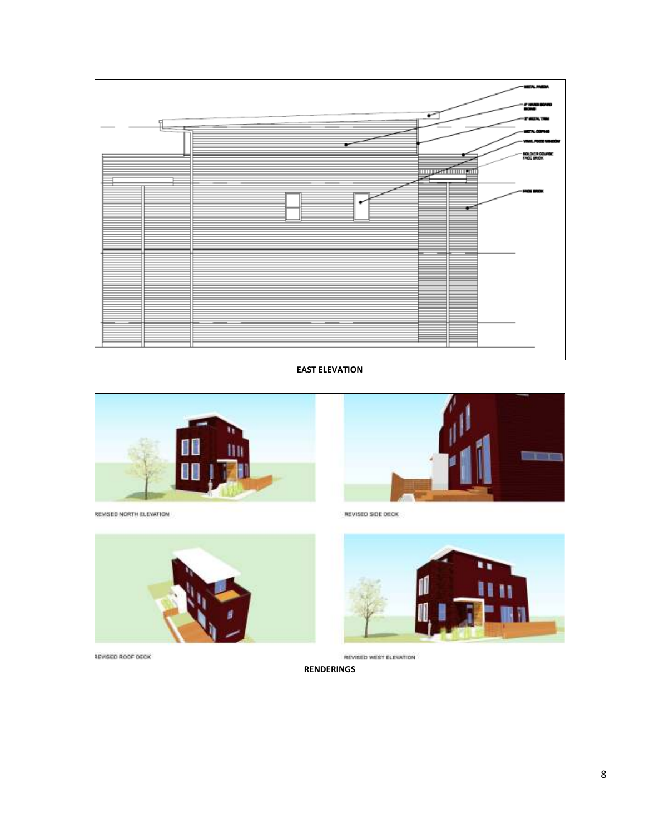

**EAST ELEVATION** 



REVISED NORTH ELEVATION



REVISED SIDE DECK REVISED WEST ELEVATION

an ta

REVISED ROOF DECK

**RENDERINGS**

 $\epsilon$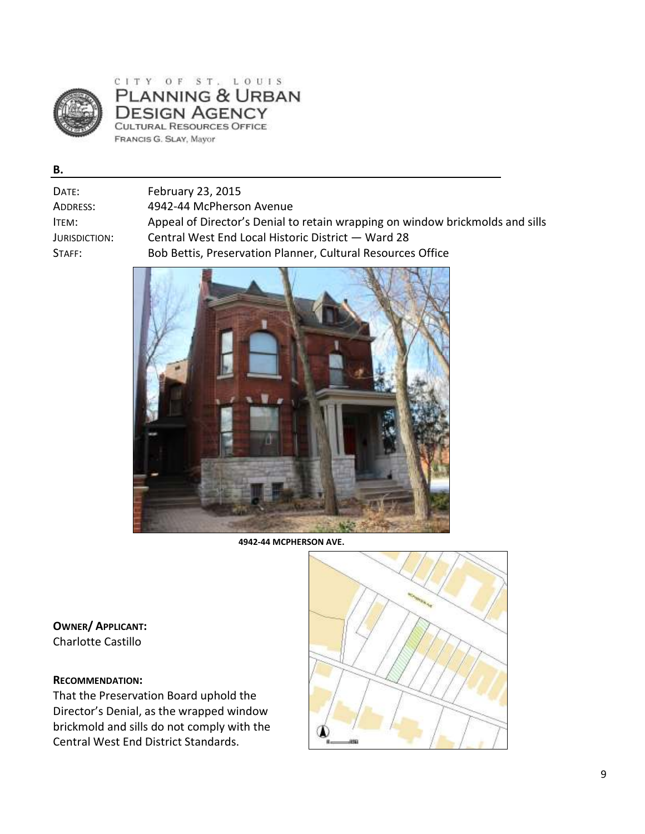

### CITY OF ST. LOUIS PLANNING & URBAN **DESIGN AGENCY** CULTURAL RESOURCES OFFICE FRANCIS G. SLAY, Mayor

**B.** 

| Date:             | February 23, 2015                                                             |
|-------------------|-------------------------------------------------------------------------------|
| Address:          | 4942-44 McPherson Avenue                                                      |
| ITEM:             | Appeal of Director's Denial to retain wrapping on window brickmolds and sills |
| Jurisdiction:     | Central West End Local Historic District - Ward 28                            |
| $\mathsf{STAFF:}$ | Bob Bettis, Preservation Planner, Cultural Resources Office                   |
|                   |                                                                               |



**4942-44 MCPHERSON AVE.** 

**OWNER/ APPLICANT:**  Charlotte Castillo

### **RECOMMENDATION:**

That the Preservation Board uphold the Director's Denial, as the wrapped window brickmold and sills do not comply with the Central West End District Standards.

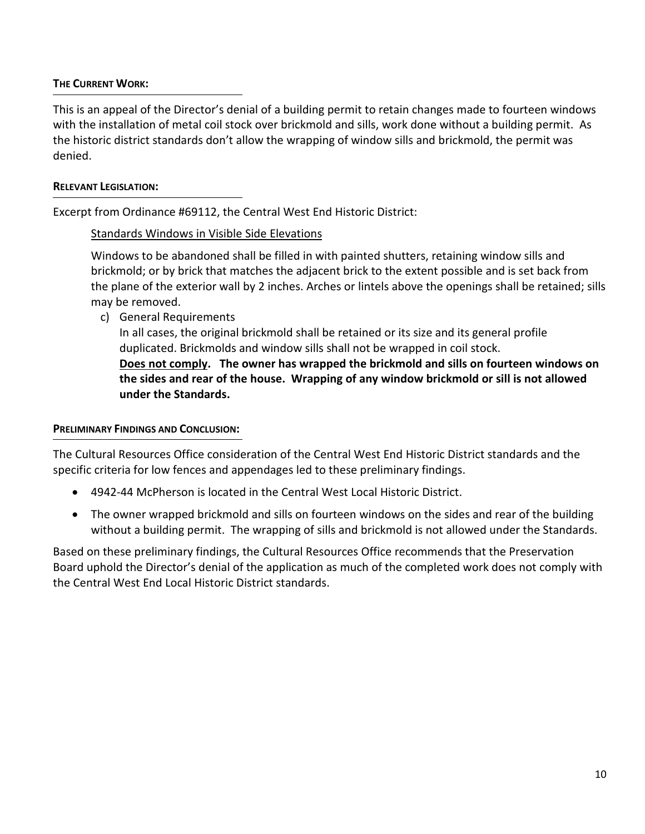### **THE CURRENT WORK:**

This is an appeal of the Director's denial of a building permit to retain changes made to fourteen windows with the installation of metal coil stock over brickmold and sills, work done without a building permit. As the historic district standards don't allow the wrapping of window sills and brickmold, the permit was denied.

### **RELEVANT LEGISLATION:**

Excerpt from Ordinance #69112, the Central West End Historic District:

## Standards Windows in Visible Side Elevations

Windows to be abandoned shall be filled in with painted shutters, retaining window sills and brickmold; or by brick that matches the adjacent brick to the extent possible and is set back from the plane of the exterior wall by 2 inches. Arches or lintels above the openings shall be retained; sills may be removed.

c) General Requirements

In all cases, the original brickmold shall be retained or its size and its general profile duplicated. Brickmolds and window sills shall not be wrapped in coil stock. **Does not comply. The owner has wrapped the brickmold and sills on fourteen windows on the sides and rear of the house. Wrapping of any window brickmold or sill is not allowed under the Standards.** 

## **PRELIMINARY FINDINGS AND CONCLUSION:**

The Cultural Resources Office consideration of the Central West End Historic District standards and the specific criteria for low fences and appendages led to these preliminary findings.

- 4942-44 McPherson is located in the Central West Local Historic District.
- The owner wrapped brickmold and sills on fourteen windows on the sides and rear of the building without a building permit. The wrapping of sills and brickmold is not allowed under the Standards.

Based on these preliminary findings, the Cultural Resources Office recommends that the Preservation Board uphold the Director's denial of the application as much of the completed work does not comply with the Central West End Local Historic District standards.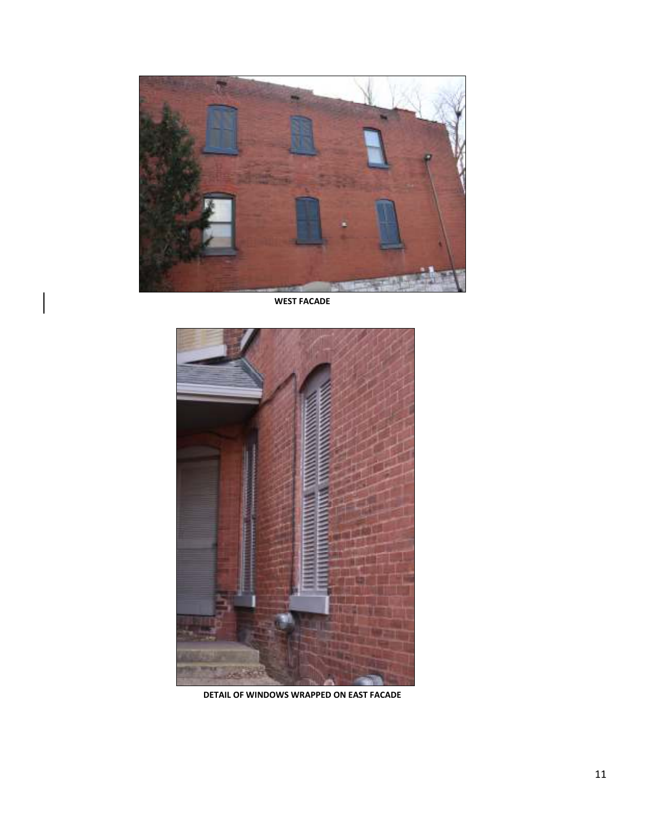

**WEST FACADE**



**DETAIL OF WINDOWS WRAPPED ON EAST FACADE**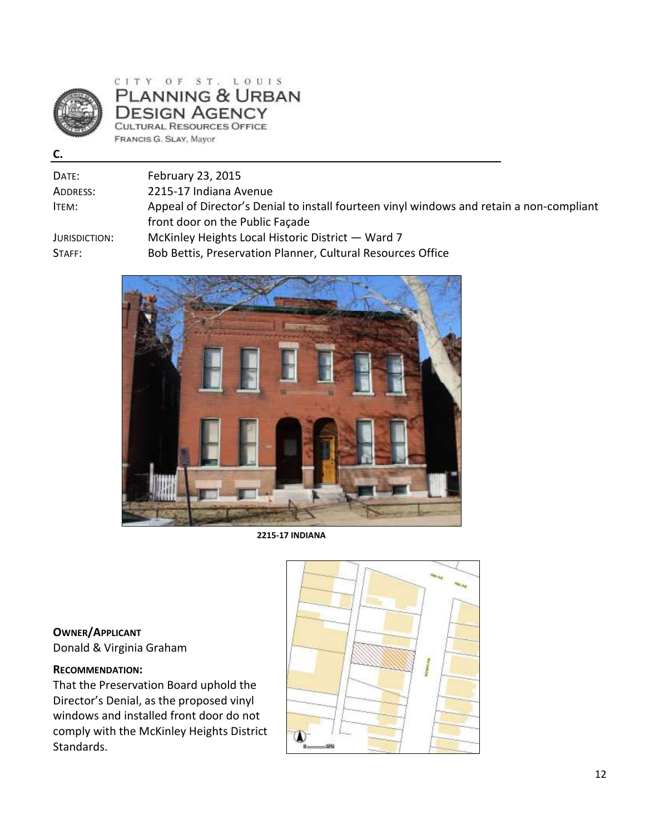

### CITY OF ST. LOUIS PLANNING & URBAN **DESIGN AGENCY** CULTURAL RESOURCES OFFICE FRANCIS G. SLAY, Mayor

**C.** 

| Date:         | February 23, 2015                                                                        |
|---------------|------------------------------------------------------------------------------------------|
| Address:      | 2215-17 Indiana Avenue                                                                   |
| ITEM:         | Appeal of Director's Denial to install fourteen vinyl windows and retain a non-compliant |
|               | front door on the Public Facade                                                          |
| Jurisdiction: | McKinley Heights Local Historic District — Ward 7                                        |
| STAFF:        | Bob Bettis, Preservation Planner, Cultural Resources Office                              |



**2215-17 INDIANA** 

**OWNER/APPLICANT** Donald & Virginia Graham

### **RECOMMENDATION:**

That the Preservation Board uphold the Director's Denial, as the proposed vinyl windows and installed front door do not comply with the McKinley Heights District Standards.

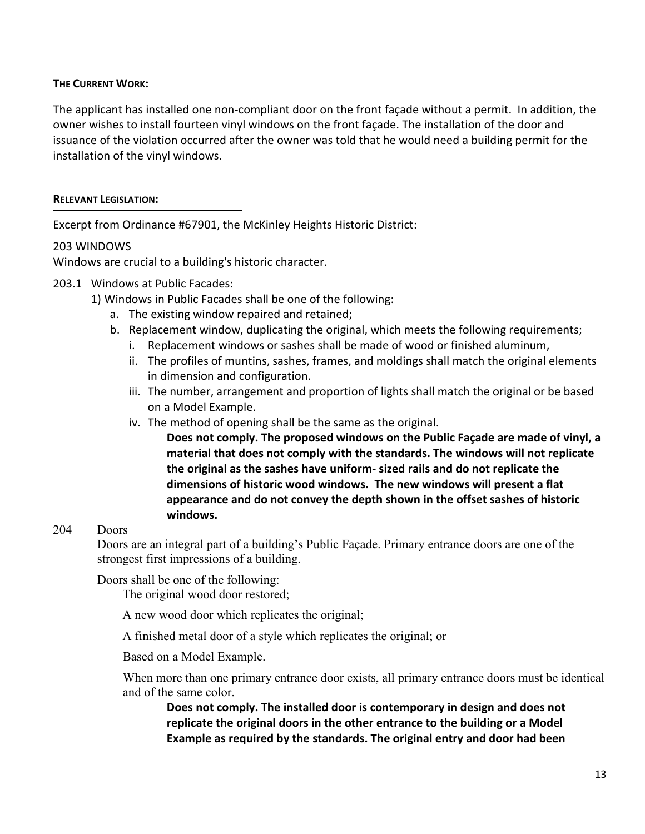### **THE CURRENT WORK:**

The applicant has installed one non-compliant door on the front façade without a permit. In addition, the owner wishes to install fourteen vinyl windows on the front façade. The installation of the door and issuance of the violation occurred after the owner was told that he would need a building permit for the installation of the vinyl windows.

### **RELEVANT LEGISLATION:**

Excerpt from Ordinance #67901, the McKinley Heights Historic District:

### 203 WINDOWS

Windows are crucial to a building's historic character.

- 203.1 Windows at Public Facades:
	- 1) Windows in Public Facades shall be one of the following:
		- a. The existing window repaired and retained;
		- b. Replacement window, duplicating the original, which meets the following requirements;
			- i. Replacement windows or sashes shall be made of wood or finished aluminum,
			- ii. The profiles of muntins, sashes, frames, and moldings shall match the original elements in dimension and configuration.
			- iii. The number, arrangement and proportion of lights shall match the original or be based on a Model Example.
			- iv. The method of opening shall be the same as the original.

**Does not comply. The proposed windows on the Public Façade are made of vinyl, a material that does not comply with the standards. The windows will not replicate the original as the sashes have uniform- sized rails and do not replicate the dimensions of historic wood windows. The new windows will present a flat appearance and do not convey the depth shown in the offset sashes of historic windows.**

### 204 Doors

Doors are an integral part of a building's Public Façade. Primary entrance doors are one of the strongest first impressions of a building.

Doors shall be one of the following:

The original wood door restored;

A new wood door which replicates the original;

A finished metal door of a style which replicates the original; or

Based on a Model Example.

When more than one primary entrance door exists, all primary entrance doors must be identical and of the same color.

**Does not comply. The installed door is contemporary in design and does not replicate the original doors in the other entrance to the building or a Model Example as required by the standards. The original entry and door had been**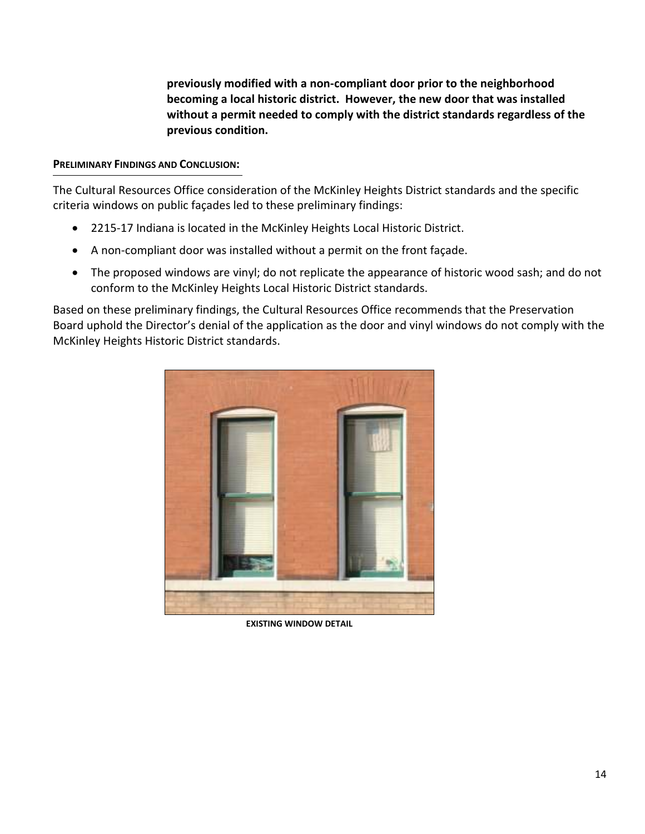**previously modified with a non-compliant door prior to the neighborhood becoming a local historic district. However, the new door that was installed without a permit needed to comply with the district standards regardless of the previous condition.**

### **PRELIMINARY FINDINGS AND CONCLUSION:**

The Cultural Resources Office consideration of the McKinley Heights District standards and the specific criteria windows on public façades led to these preliminary findings:

- 2215-17 Indiana is located in the McKinley Heights Local Historic District.
- A non-compliant door was installed without a permit on the front façade.
- The proposed windows are vinyl; do not replicate the appearance of historic wood sash; and do not conform to the McKinley Heights Local Historic District standards.

Based on these preliminary findings, the Cultural Resources Office recommends that the Preservation Board uphold the Director's denial of the application as the door and vinyl windows do not comply with the McKinley Heights Historic District standards.



**EXISTING WINDOW DETAIL**